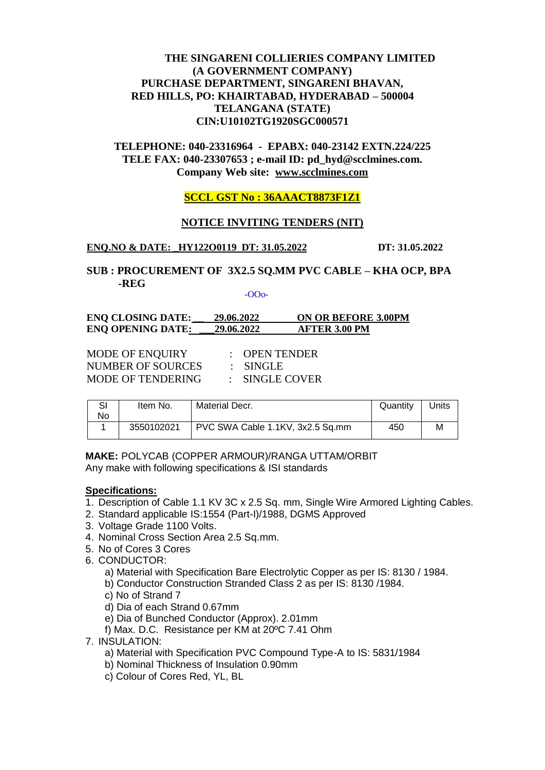# **THE SINGARENI COLLIERIES COMPANY LIMITED (A GOVERNMENT COMPANY) PURCHASE DEPARTMENT, SINGARENI BHAVAN, RED HILLS, PO: KHAIRTABAD, HYDERABAD – 500004 TELANGANA (STATE) CIN:U10102TG1920SGC000571**

**TELEPHONE: 040-23316964 - EPABX: 040-23142 EXTN.224/225 TELE FAX: 040-23307653 ; e-mail ID: pd\_hyd@scclmines.com. Company Web site: [www.scclmines.com](http://www.scclmines.com/)**

## **SCCL GST No : 36AAACT8873F1Z1**

### **NOTICE INVITING TENDERS (NIT)**

### **ENQ.NO & DATE: \_HY122O0119 DT: 31.05.2022 DT: 31.05.2022**

# **SUB : PROCUREMENT OF 3X2.5 SQ.MM PVC CABLE – KHA OCP, BPA -REG**

-OOo-

| ENQ CLOSING DATE: | 29.06.2022 | <b>ON OR BEFORE 3.00PM</b> |
|-------------------|------------|----------------------------|
| ENQ OPENING DATE: | 29.06.2022 | <b>AFTER 3.00 PM</b>       |

| <b>MODE OF ENQUIRY</b>   | $\therefore$ OPEN TENDER |
|--------------------------|--------------------------|
| NUMBER OF SOURCES        | $\pm$ SINGLE             |
| <b>MODE OF TENDERING</b> | : SINGLE COVER           |

| SI<br>No. | Item No.   | <b>Material Decr.</b>            | Quantity | Units |
|-----------|------------|----------------------------------|----------|-------|
|           | 3550102021 | PVC SWA Cable 1.1KV, 3x2.5 Sq.mm | 450      | м     |

**MAKE:** POLYCAB (COPPER ARMOUR)/RANGA UTTAM/ORBIT Any make with following specifications & ISI standards

#### **Specifications:**

- 1. Description of Cable 1.1 KV 3C x 2.5 Sq. mm, Single Wire Armored Lighting Cables.
- 2. Standard applicable IS:1554 (Part-I)/1988, DGMS Approved
- 3. Voltage Grade 1100 Volts.
- 4. Nominal Cross Section Area 2.5 Sq.mm.
- 5. No of Cores 3 Cores
- 6. CONDUCTOR:
	- a) Material with Specification Bare Electrolytic Copper as per IS: 8130 / 1984.
	- b) Conductor Construction Stranded Class 2 as per IS: 8130 /1984.
	- c) No of Strand 7
	- d) Dia of each Strand 0.67mm
	- e) Dia of Bunched Conductor (Approx). 2.01mm
	- f) Max. D.C. Resistance per KM at 20ºC 7.41 Ohm
- 7. INSULATION:
	- a) Material with Specification PVC Compound Type-A to IS: 5831/1984
	- b) Nominal Thickness of Insulation 0.90mm
	- c) Colour of Cores Red, YL, BL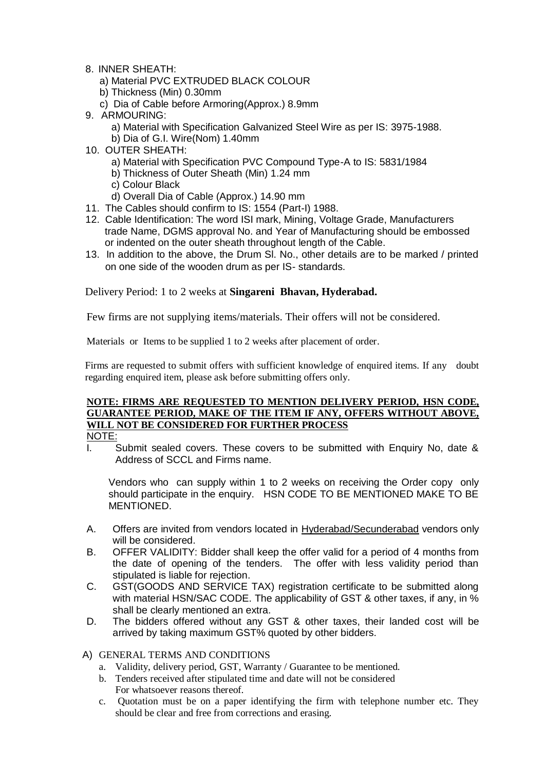- 8. INNER SHEATH:
	- a) Material PVC EXTRUDED BLACK COLOUR
	- b) Thickness (Min) 0.30mm
	- c) Dia of Cable before Armoring(Approx.) 8.9mm
- 9. ARMOURING:
	- a) Material with Specification Galvanized Steel Wire as per IS: 3975-1988.
	- b) Dia of G.I. Wire(Nom) 1.40mm
- 10. OUTER SHEATH:
	- a) Material with Specification PVC Compound Type-A to IS: 5831/1984
	- b) Thickness of Outer Sheath (Min) 1.24 mm
	- c) Colour Black
	- d) Overall Dia of Cable (Approx.) 14.90 mm
- 11. The Cables should confirm to IS: 1554 (Part-I) 1988.
- 12. Cable Identification: The word ISI mark, Mining, Voltage Grade, Manufacturers trade Name, DGMS approval No. and Year of Manufacturing should be embossed or indented on the outer sheath throughout length of the Cable.
- 13. In addition to the above, the Drum Sl. No., other details are to be marked / printed on one side of the wooden drum as per IS- standards.

Delivery Period: 1 to 2 weeks at **Singareni Bhavan, Hyderabad.**

Few firms are not supplying items/materials. Their offers will not be considered.

Materials or Items to be supplied 1 to 2 weeks after placement of order.

Firms are requested to submit offers with sufficient knowledge of enquired items. If any doubt regarding enquired item, please ask before submitting offers only.

# **NOTE: FIRMS ARE REQUESTED TO MENTION DELIVERY PERIOD, HSN CODE, GUARANTEE PERIOD, MAKE OF THE ITEM IF ANY, OFFERS WITHOUT ABOVE, WILL NOT BE CONSIDERED FOR FURTHER PROCESS**

- NOTE:
- I. Submit sealed covers. These covers to be submitted with Enquiry No, date & Address of SCCL and Firms name.

Vendors who can supply within 1 to 2 weeks on receiving the Order copy only should participate in the enquiry. HSN CODE TO BE MENTIONED MAKE TO BE MENTIONED.

- A. Offers are invited from vendors located in Hyderabad/Secunderabad vendors only will be considered.
- B. OFFER VALIDITY: Bidder shall keep the offer valid for a period of 4 months from the date of opening of the tenders. The offer with less validity period than stipulated is liable for rejection.
- C. GST(GOODS AND SERVICE TAX) registration certificate to be submitted along with material HSN/SAC CODE. The applicability of GST & other taxes, if any, in % shall be clearly mentioned an extra.
- D. The bidders offered without any GST & other taxes, their landed cost will be arrived by taking maximum GST% quoted by other bidders.
- A) GENERAL TERMS AND CONDITIONS
	- a. Validity, delivery period, GST, Warranty / Guarantee to be mentioned.
	- b. Tenders received after stipulated time and date will not be considered For whatsoever reasons thereof.
	- c. Quotation must be on a paper identifying the firm with telephone number etc. They should be clear and free from corrections and erasing.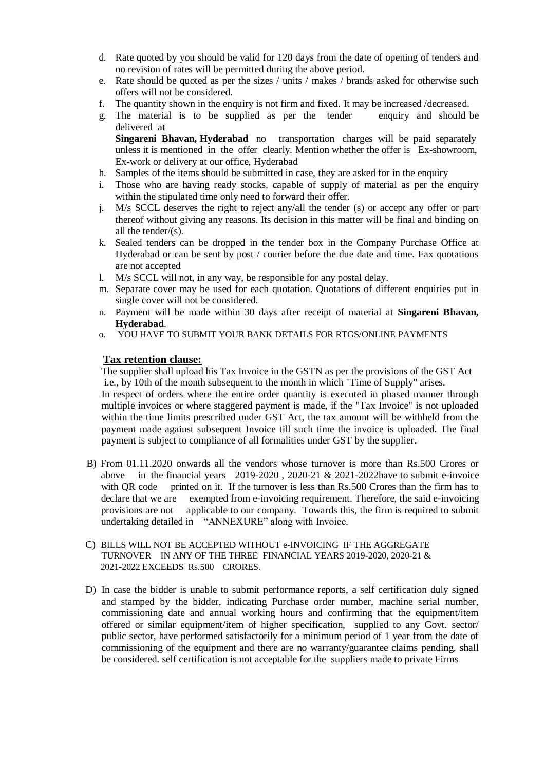- d. Rate quoted by you should be valid for 120 days from the date of opening of tenders and no revision of rates will be permitted during the above period.
- e. Rate should be quoted as per the sizes / units / makes / brands asked for otherwise such offers will not be considered.
- f. The quantity shown in the enquiry is not firm and fixed. It may be increased /decreased.
- g. The material is to be supplied as per the tender enquiry and should be delivered at

**Singareni Bhavan, Hyderabad** no transportation charges will be paid separately unless it is mentioned in the offer clearly. Mention whether the offer is Ex-showroom, Ex-work or delivery at our office, Hyderabad

- h. Samples of the items should be submitted in case, they are asked for in the enquiry
- i. Those who are having ready stocks, capable of supply of material as per the enquiry within the stipulated time only need to forward their offer.
- j. M/s SCCL deserves the right to reject any/all the tender (s) or accept any offer or part thereof without giving any reasons. Its decision in this matter will be final and binding on all the tender/(s).
- k. Sealed tenders can be dropped in the tender box in the Company Purchase Office at Hyderabad or can be sent by post / courier before the due date and time. Fax quotations are not accepted
- l. M/s SCCL will not, in any way, be responsible for any postal delay.
- m. Separate cover may be used for each quotation. Quotations of different enquiries put in single cover will not be considered.
- n. Payment will be made within 30 days after receipt of material at **Singareni Bhavan, Hyderabad**.
- o. YOU HAVE TO SUBMIT YOUR BANK DETAILS FOR RTGS/ONLINE PAYMENTS

### **Tax retention clause:**

The supplier shall upload his Tax Invoice in the GSTN as per the provisions of the GST Act i.e., by 10th of the month subsequent to the month in which "Time of Supply" arises.

In respect of orders where the entire order quantity is executed in phased manner through multiple invoices or where staggered payment is made, if the "Tax Invoice" is not uploaded within the time limits prescribed under GST Act, the tax amount will be withheld from the payment made against subsequent Invoice till such time the invoice is uploaded. The final payment is subject to compliance of all formalities under GST by the supplier.

- B) From 01.11.2020 onwards all the vendors whose turnover is more than Rs.500 Crores or above in the financial years  $2019-2020$ ,  $2020-21$  &  $2021-2022$  have to submit e-invoice with QR code printed on it. If the turnover is less than Rs.500 Crores than the firm has to declare that we are exempted from e-invoicing requirement. Therefore, the said e-invoicing provisions are not applicable to our company. Towards this, the firm is required to submit undertaking detailed in "ANNEXURE" along with Invoice.
- C) BILLS WILL NOT BE ACCEPTED WITHOUT e-INVOICING IF THE AGGREGATE TURNOVER IN ANY OF THE THREE FINANCIAL YEARS 2019-2020, 2020-21 & 2021-2022 EXCEEDS Rs.500 CRORES.
- D) In case the bidder is unable to submit performance reports, a self certification duly signed and stamped by the bidder, indicating Purchase order number, machine serial number, commissioning date and annual working hours and confirming that the equipment/item offered or similar equipment/item of higher specification, supplied to any Govt. sector/ public sector, have performed satisfactorily for a minimum period of 1 year from the date of commissioning of the equipment and there are no warranty/guarantee claims pending, shall be considered. self certification is not acceptable for the suppliers made to private Firms